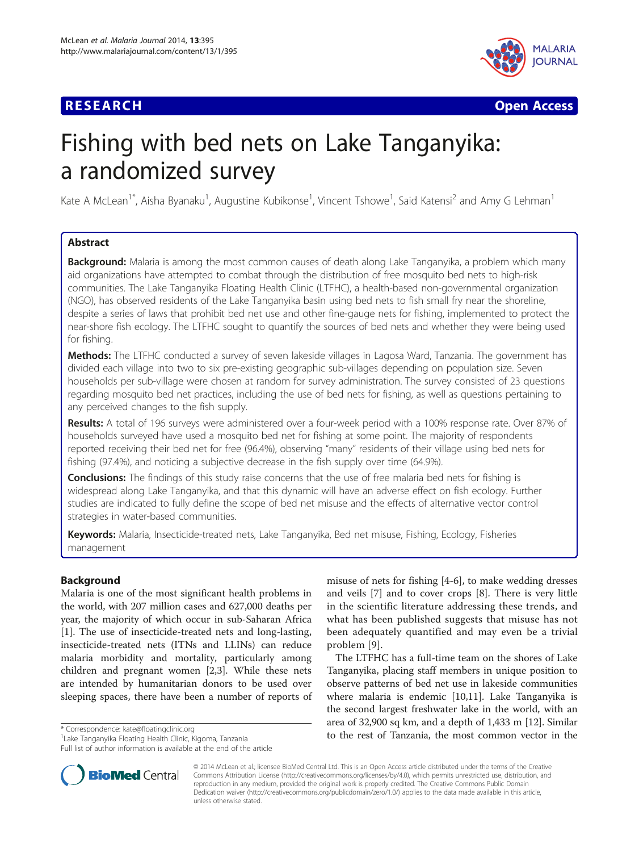# **RESEARCH CHEAR CHEAR CHEAR CHEAR CHEAR CHEAR CHEAR CHEAR CHEAR CHEAR CHEAR CHEAR CHEAR CHEAR CHEAR CHEAR CHEAR**



# Fishing with bed nets on Lake Tanganyika: a randomized survey

Kate A McLean<sup>1\*</sup>, Aisha Byanaku<sup>1</sup>, Augustine Kubikonse<sup>1</sup>, Vincent Tshowe<sup>1</sup>, Said Katensi<sup>2</sup> and Amy G Lehman<sup>1</sup>

# Abstract

**Background:** Malaria is among the most common causes of death along Lake Tanganyika, a problem which many aid organizations have attempted to combat through the distribution of free mosquito bed nets to high-risk communities. The Lake Tanganyika Floating Health Clinic (LTFHC), a health-based non-governmental organization (NGO), has observed residents of the Lake Tanganyika basin using bed nets to fish small fry near the shoreline, despite a series of laws that prohibit bed net use and other fine-gauge nets for fishing, implemented to protect the near-shore fish ecology. The LTFHC sought to quantify the sources of bed nets and whether they were being used for fishing.

Methods: The LTFHC conducted a survey of seven lakeside villages in Lagosa Ward, Tanzania. The government has divided each village into two to six pre-existing geographic sub-villages depending on population size. Seven households per sub-village were chosen at random for survey administration. The survey consisted of 23 questions regarding mosquito bed net practices, including the use of bed nets for fishing, as well as questions pertaining to any perceived changes to the fish supply.

Results: A total of 196 surveys were administered over a four-week period with a 100% response rate. Over 87% of households surveyed have used a mosquito bed net for fishing at some point. The majority of respondents reported receiving their bed net for free (96.4%), observing "many" residents of their village using bed nets for fishing (97.4%), and noticing a subjective decrease in the fish supply over time (64.9%).

**Conclusions:** The findings of this study raise concerns that the use of free malaria bed nets for fishing is widespread along Lake Tanganyika, and that this dynamic will have an adverse effect on fish ecology. Further studies are indicated to fully define the scope of bed net misuse and the effects of alternative vector control strategies in water-based communities.

Keywords: Malaria, Insecticide-treated nets, Lake Tanganyika, Bed net misuse, Fishing, Ecology, Fisheries management

# Background

Malaria is one of the most significant health problems in the world, with 207 million cases and 627,000 deaths per year, the majority of which occur in sub-Saharan Africa [[1\]](#page-3-0). The use of insecticide-treated nets and long-lasting, insecticide-treated nets (ITNs and LLINs) can reduce malaria morbidity and mortality, particularly among children and pregnant women [\[2,3](#page-3-0)]. While these nets are intended by humanitarian donors to be used over sleeping spaces, there have been a number of reports of

Full list of author information is available at the end of the article



The LTFHC has a full-time team on the shores of Lake Tanganyika, placing staff members in unique position to observe patterns of bed net use in lakeside communities where malaria is endemic [\[10,11](#page-3-0)]. Lake Tanganyika is the second largest freshwater lake in the world, with an area of 32,900 sq km, and a depth of 1,433 m [[12](#page-3-0)]. Similar \* Correspondence: [kate@floatingclinic.org](mailto:kate@floatingclinic.org)<br><sup>1</sup><br><sup>1</sup><br><sup>1</sup><br><sup>1</sup><br><sup>1</sup><br><sup>1</sup><br><sup>1</sup>



© 2014 McLean et al.; licensee BioMed Central Ltd. This is an Open Access article distributed under the terms of the Creative Commons Attribution License [\(http://creativecommons.org/licenses/by/4.0\)](http://creativecommons.org/licenses/by/4.0), which permits unrestricted use, distribution, and reproduction in any medium, provided the original work is properly credited. The Creative Commons Public Domain Dedication waiver [\(http://creativecommons.org/publicdomain/zero/1.0/](http://creativecommons.org/publicdomain/zero/1.0/)) applies to the data made available in this article, unless otherwise stated.

Lake Tanganyika Floating Health Clinic, Kigoma, Tanzania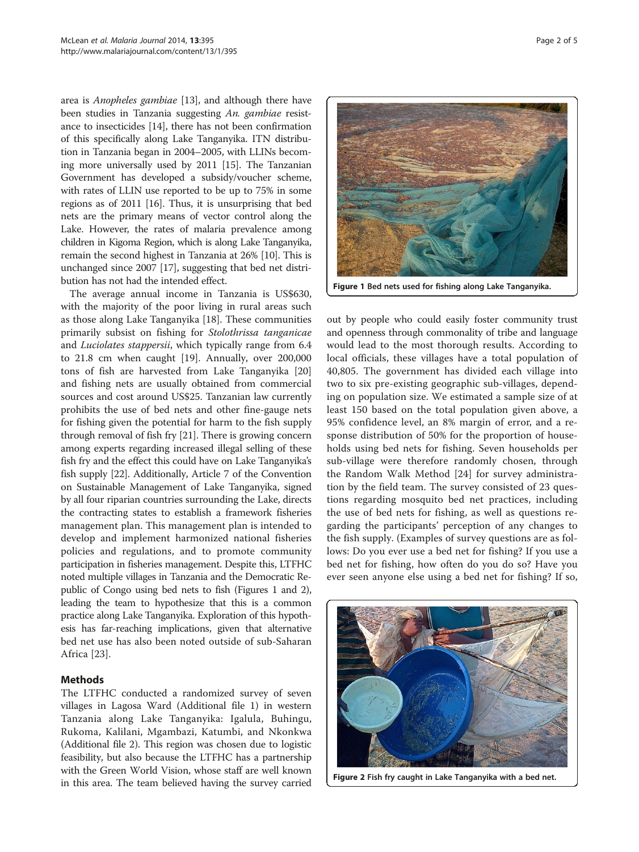area is Anopheles gambiae [[13\]](#page-3-0), and although there have been studies in Tanzania suggesting An. gambiae resistance to insecticides [[14](#page-3-0)], there has not been confirmation of this specifically along Lake Tanganyika. ITN distribution in Tanzania began in 2004–2005, with LLINs becoming more universally used by 2011 [\[15\]](#page-3-0). The Tanzanian Government has developed a subsidy/voucher scheme, with rates of LLIN use reported to be up to 75% in some regions as of 2011 [[16](#page-3-0)]. Thus, it is unsurprising that bed nets are the primary means of vector control along the Lake. However, the rates of malaria prevalence among children in Kigoma Region, which is along Lake Tanganyika, remain the second highest in Tanzania at 26% [\[10\]](#page-3-0). This is unchanged since 2007 [\[17\]](#page-3-0), suggesting that bed net distribution has not had the intended effect.

The average annual income in Tanzania is US\$630, with the majority of the poor living in rural areas such as those along Lake Tanganyika [\[18\]](#page-3-0). These communities primarily subsist on fishing for Stolothrissa tanganicae and Luciolates stappersii, which typically range from 6.4 to 21.8 cm when caught [[19\]](#page-4-0). Annually, over 200,000 tons of fish are harvested from Lake Tanganyika [[20](#page-4-0)] and fishing nets are usually obtained from commercial sources and cost around US\$25. Tanzanian law currently prohibits the use of bed nets and other fine-gauge nets for fishing given the potential for harm to the fish supply through removal of fish fry [\[21\]](#page-4-0). There is growing concern among experts regarding increased illegal selling of these fish fry and the effect this could have on Lake Tanganyika's fish supply [\[22\]](#page-4-0). Additionally, Article 7 of the Convention on Sustainable Management of Lake Tanganyika, signed by all four riparian countries surrounding the Lake, directs the contracting states to establish a framework fisheries management plan. This management plan is intended to develop and implement harmonized national fisheries policies and regulations, and to promote community participation in fisheries management. Despite this, LTFHC noted multiple villages in Tanzania and the Democratic Republic of Congo using bed nets to fish (Figures 1 and 2), leading the team to hypothesize that this is a common practice along Lake Tanganyika. Exploration of this hypothesis has far-reaching implications, given that alternative bed net use has also been noted outside of sub-Saharan Africa [[23\]](#page-4-0).

# Methods

The LTFHC conducted a randomized survey of seven villages in Lagosa Ward (Additional file [1](#page-3-0)) in western Tanzania along Lake Tanganyika: Igalula, Buhingu, Rukoma, Kalilani, Mgambazi, Katumbi, and Nkonkwa (Additional file [2](#page-3-0)). This region was chosen due to logistic feasibility, but also because the LTFHC has a partnership with the Green World Vision, whose staff are well known in this area. The team believed having the survey carried



Figure 1 Bed nets used for fishing along Lake Tanganyika.

out by people who could easily foster community trust and openness through commonality of tribe and language would lead to the most thorough results. According to local officials, these villages have a total population of 40,805. The government has divided each village into two to six pre-existing geographic sub-villages, depending on population size. We estimated a sample size of at least 150 based on the total population given above, a 95% confidence level, an 8% margin of error, and a response distribution of 50% for the proportion of households using bed nets for fishing. Seven households per sub-village were therefore randomly chosen, through the Random Walk Method [[24\]](#page-4-0) for survey administration by the field team. The survey consisted of 23 questions regarding mosquito bed net practices, including the use of bed nets for fishing, as well as questions regarding the participants' perception of any changes to the fish supply. (Examples of survey questions are as follows: Do you ever use a bed net for fishing? If you use a bed net for fishing, how often do you do so? Have you ever seen anyone else using a bed net for fishing? If so,



Figure 2 Fish fry caught in Lake Tanganyika with a bed net.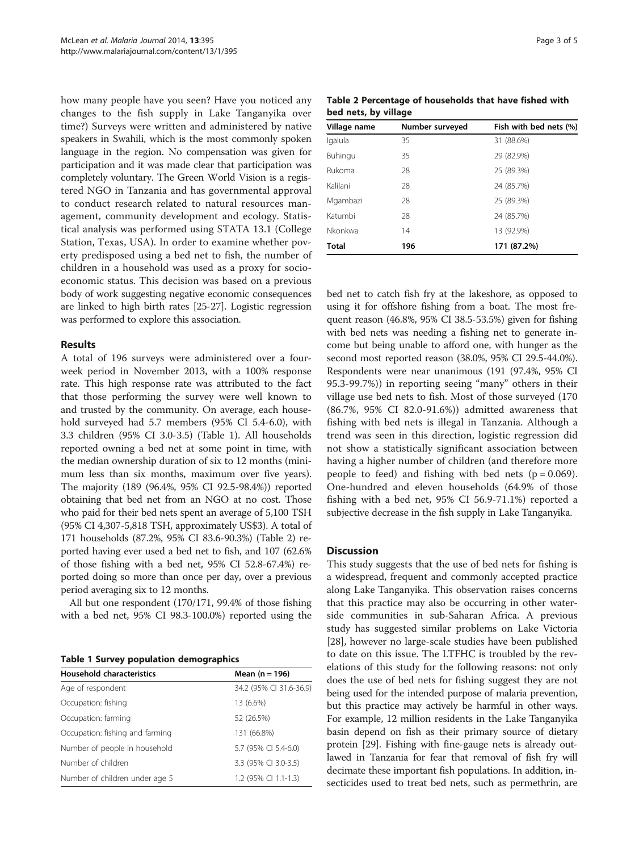how many people have you seen? Have you noticed any changes to the fish supply in Lake Tanganyika over time?) Surveys were written and administered by native speakers in Swahili, which is the most commonly spoken language in the region. No compensation was given for participation and it was made clear that participation was completely voluntary. The Green World Vision is a registered NGO in Tanzania and has governmental approval to conduct research related to natural resources management, community development and ecology. Statistical analysis was performed using STATA 13.1 (College Station, Texas, USA). In order to examine whether poverty predisposed using a bed net to fish, the number of children in a household was used as a proxy for socioeconomic status. This decision was based on a previous body of work suggesting negative economic consequences are linked to high birth rates [\[25-27](#page-4-0)]. Logistic regression was performed to explore this association.

# Results

A total of 196 surveys were administered over a fourweek period in November 2013, with a 100% response rate. This high response rate was attributed to the fact that those performing the survey were well known to and trusted by the community. On average, each household surveyed had 5.7 members (95% CI 5.4-6.0), with 3.3 children (95% CI 3.0-3.5) (Table 1). All households reported owning a bed net at some point in time, with the median ownership duration of six to 12 months (minimum less than six months, maximum over five years). The majority (189 (96.4%, 95% CI 92.5-98.4%)) reported obtaining that bed net from an NGO at no cost. Those who paid for their bed nets spent an average of 5,100 TSH (95% CI 4,307-5,818 TSH, approximately US\$3). A total of 171 households (87.2%, 95% CI 83.6-90.3%) (Table 2) reported having ever used a bed net to fish, and 107 (62.6% of those fishing with a bed net, 95% CI 52.8-67.4%) reported doing so more than once per day, over a previous period averaging six to 12 months.

All but one respondent (170/171, 99.4% of those fishing with a bed net, 95% CI 98.3-100.0%) reported using the

Table 1 Survey population demographics

| <b>Household characteristics</b> | Mean (n = 196)          |
|----------------------------------|-------------------------|
| Age of respondent                | 34.2 (95% CI 31.6-36.9) |
| Occupation: fishing              | 13 (6.6%)               |
| Occupation: farming              | 52 (26.5%)              |
| Occupation: fishing and farming  | 131 (66.8%)             |
| Number of people in household    | 5.7 (95% CI 5.4-6.0)    |
| Number of children               | 3.3 (95% CI 3.0-3.5)    |
| Number of children under age 5   | 1.2 (95% CI 1.1-1.3)    |

| Table 2 Percentage of households that have fished with |  |  |  |
|--------------------------------------------------------|--|--|--|
| bed nets, by village                                   |  |  |  |

| Village name | Number surveyed | Fish with bed nets (%) |
|--------------|-----------------|------------------------|
| Igalula      | 35              | 31 (88.6%)             |
| Buhingu      | 35              | 29 (82.9%)             |
| Rukoma       | 28              | 25 (89.3%)             |
| Kalilani     | 28              | 24 (85.7%)             |
| Mgambazi     | 28              | 25 (89.3%)             |
| Katumbi      | 28              | 24 (85.7%)             |
| Nkonkwa      | 14              | 13 (92.9%)             |
| <b>Total</b> | 196             | 171 (87.2%)            |

bed net to catch fish fry at the lakeshore, as opposed to using it for offshore fishing from a boat. The most frequent reason (46.8%, 95% CI 38.5-53.5%) given for fishing with bed nets was needing a fishing net to generate income but being unable to afford one, with hunger as the second most reported reason (38.0%, 95% CI 29.5-44.0%). Respondents were near unanimous (191 (97.4%, 95% CI 95.3-99.7%)) in reporting seeing "many" others in their village use bed nets to fish. Most of those surveyed (170 (86.7%, 95% CI 82.0-91.6%)) admitted awareness that fishing with bed nets is illegal in Tanzania. Although a trend was seen in this direction, logistic regression did not show a statistically significant association between having a higher number of children (and therefore more people to feed) and fishing with bed nets  $(p = 0.069)$ . One-hundred and eleven households (64.9% of those fishing with a bed net, 95% CI 56.9-71.1%) reported a subjective decrease in the fish supply in Lake Tanganyika.

# **Discussion**

This study suggests that the use of bed nets for fishing is a widespread, frequent and commonly accepted practice along Lake Tanganyika. This observation raises concerns that this practice may also be occurring in other waterside communities in sub-Saharan Africa. A previous study has suggested similar problems on Lake Victoria [[28\]](#page-4-0), however no large-scale studies have been published to date on this issue. The LTFHC is troubled by the revelations of this study for the following reasons: not only does the use of bed nets for fishing suggest they are not being used for the intended purpose of malaria prevention, but this practice may actively be harmful in other ways. For example, 12 million residents in the Lake Tanganyika basin depend on fish as their primary source of dietary protein [[29](#page-4-0)]. Fishing with fine-gauge nets is already outlawed in Tanzania for fear that removal of fish fry will decimate these important fish populations. In addition, insecticides used to treat bed nets, such as permethrin, are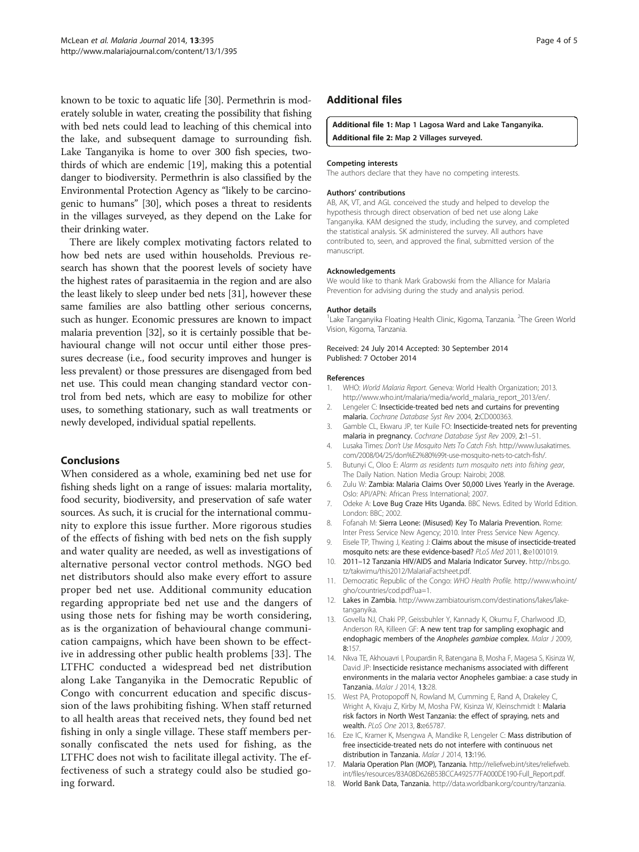<span id="page-3-0"></span>known to be toxic to aquatic life [[30](#page-4-0)]. Permethrin is moderately soluble in water, creating the possibility that fishing with bed nets could lead to leaching of this chemical into the lake, and subsequent damage to surrounding fish. Lake Tanganyika is home to over 300 fish species, twothirds of which are endemic [\[19\]](#page-4-0), making this a potential danger to biodiversity. Permethrin is also classified by the Environmental Protection Agency as "likely to be carcinogenic to humans" [[30](#page-4-0)], which poses a threat to residents in the villages surveyed, as they depend on the Lake for their drinking water.

There are likely complex motivating factors related to how bed nets are used within households. Previous research has shown that the poorest levels of society have the highest rates of parasitaemia in the region and are also the least likely to sleep under bed nets [[31](#page-4-0)], however these same families are also battling other serious concerns, such as hunger. Economic pressures are known to impact malaria prevention [[32](#page-4-0)], so it is certainly possible that behavioural change will not occur until either those pressures decrease (i.e., food security improves and hunger is less prevalent) or those pressures are disengaged from bed net use. This could mean changing standard vector control from bed nets, which are easy to mobilize for other uses, to something stationary, such as wall treatments or newly developed, individual spatial repellents.

# Conclusions

When considered as a whole, examining bed net use for fishing sheds light on a range of issues: malaria mortality, food security, biodiversity, and preservation of safe water sources. As such, it is crucial for the international community to explore this issue further. More rigorous studies of the effects of fishing with bed nets on the fish supply and water quality are needed, as well as investigations of alternative personal vector control methods. NGO bed net distributors should also make every effort to assure proper bed net use. Additional community education regarding appropriate bed net use and the dangers of using those nets for fishing may be worth considering, as is the organization of behavioural change communication campaigns, which have been shown to be effective in addressing other public health problems [[33\]](#page-4-0). The LTFHC conducted a widespread bed net distribution along Lake Tanganyika in the Democratic Republic of Congo with concurrent education and specific discussion of the laws prohibiting fishing. When staff returned to all health areas that received nets, they found bed net fishing in only a single village. These staff members personally confiscated the nets used for fishing, as the LTFHC does not wish to facilitate illegal activity. The effectiveness of such a strategy could also be studied going forward.

# Additional files

[Additional file 1:](http://www.biomedcentral.com/content/supplementary/1475-2875-13-395-S1.jpeg) Map 1 Lagosa Ward and Lake Tanganyika. [Additional file 2:](http://www.biomedcentral.com/content/supplementary/1475-2875-13-395-S2.jpeg) Map 2 Villages surveyed.

#### Competing interests

The authors declare that they have no competing interests.

#### Authors' contributions

AB, AK, VT, and AGL conceived the study and helped to develop the hypothesis through direct observation of bed net use along Lake Tanganyika. KAM designed the study, including the survey, and completed the statistical analysis. SK administered the survey. All authors have contributed to, seen, and approved the final, submitted version of the manuscript.

#### Acknowledgements

We would like to thank Mark Grabowski from the Alliance for Malaria Prevention for advising during the study and analysis period.

#### Author details

<sup>1</sup> Lake Tanganyika Floating Health Clinic, Kigoma, Tanzania. <sup>2</sup>The Green World Vision, Kigoma, Tanzania.

#### Received: 24 July 2014 Accepted: 30 September 2014 Published: 7 October 2014

#### References

- 1. WHO: World Malaria Report. Geneva: World Health Organization; 2013. [http://www.who.int/malaria/media/world\\_malaria\\_report\\_2013/en/.](http://www.who.int/malaria/media/world_malaria_report_2013/en/)
- 2. Lengeler C: Insecticide-treated bed nets and curtains for preventing malaria. Cochrane Database Syst Rev 2004, 2:CD000363.
- 3. Gamble CL, Ekwaru JP, ter Kuile FO: Insecticide-treated nets for preventing malaria in pregnancy. Cochrane Database Syst Rev 2009, 2:1–51.
- 4. Lusaka Times: Don't Use Mosquito Nets To Catch Fish. [http://www.lusakatimes.](http://www.lusakatimes.com/2008/04/25/don%E2%80%99t-use-mosquito-nets-to-catch-fish/) [com/2008/04/25/don%E2%80%99t-use-mosquito-nets-to-catch-fish/](http://www.lusakatimes.com/2008/04/25/don%E2%80%99t-use-mosquito-nets-to-catch-fish/).
- 5. Butunyi C, Oloo E: Alarm as residents turn mosquito nets into fishing gear, The Daily Nation. Nation Media Group: Nairobi; 2008.
- 6. Zulu W: Zambia: Malaria Claims Over 50,000 Lives Yearly in the Average. Oslo: API/APN: African Press International; 2007.
- 7. Odeke A: Love Bug Craze Hits Uganda. BBC News. Edited by World Edition. London: BBC; 2002.
- 8. Fofanah M: Sierra Leone: (Misused) Key To Malaria Prevention. Rome: Inter Press Service New Agency; 2010. Inter Press Service New Agency.
- 9. Eisele TP, Thwing J, Keating J: Claims about the misuse of insecticide-treated mosquito nets: are these evidence-based? PLoS Med 2011, 8:e1001019.
- 10. 2011–12 Tanzania HIV/AIDS and Malaria Indicator Survey. [http://nbs.go.](http://nbs.go.tz/takwimu/this2012/MalariaFactsheet.pdf) [tz/takwimu/this2012/MalariaFactsheet.pdf.](http://nbs.go.tz/takwimu/this2012/MalariaFactsheet.pdf)
- 11. Democratic Republic of the Congo: WHO Health Profile. [http://www.who.int/](http://www.who.int/gho/countries/cod.pdf?ua=1) [gho/countries/cod.pdf?ua=1.](http://www.who.int/gho/countries/cod.pdf?ua=1)
- 12. Lakes in Zambia. [http://www.zambiatourism.com/destinations/lakes/lake](http://www.zambiatourism.com/destinations/lakes/lake-tanganyika)[tanganyika](http://www.zambiatourism.com/destinations/lakes/lake-tanganyika).
- 13. Govella NJ, Chaki PP, Geissbuhler Y, Kannady K, Okumu F, Charlwood JD, Anderson RA, Killeen GF: A new tent trap for sampling exophagic and endophagic members of the Anopheles gambiae complex. Malar J 2009, 8:157.
- 14. Nkva TE, Akhouavri I, Poupardin R, Batengana B, Mosha F, Magesa S, Kisinza W, David JP: Insecticide resistance mechanisms associated with different environments in the malaria vector Anopheles gambiae: a case study in Tanzania. Malar J 2014, 13:28.
- 15. West PA, Protopopoff N, Rowland M, Cumming E, Rand A, Drakeley C, Wright A, Kivaju Z, Kirby M, Mosha FW, Kisinza W, Kleinschmidt I: Malaria risk factors in North West Tanzania: the effect of spraying, nets and wealth. PLoS One 2013, 8:e65787.
- 16. Eze IC, Kramer K, Msengwa A, Mandike R, Lengeler C: Mass distribution of free insecticide-treated nets do not interfere with continuous net distribution in Tanzania. Malar J 2014, 13:196.
- 17. Malaria Operation Plan (MOP), Tanzania. [http://reliefweb.int/sites/reliefweb.](http://reliefweb.int/sites/reliefweb.int/files/resources/83A08D626B53BCCA492577FA000DE190-Full_Report.pdf) [int/files/resources/83A08D626B53BCCA492577FA000DE190-Full\\_Report.pdf](http://reliefweb.int/sites/reliefweb.int/files/resources/83A08D626B53BCCA492577FA000DE190-Full_Report.pdf).
- 18. World Bank Data, Tanzania. <http://data.worldbank.org/country/tanzania>.